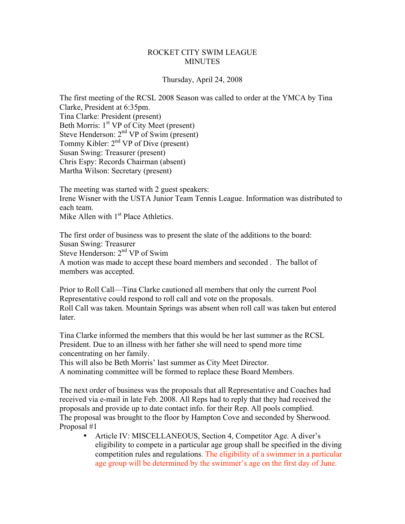## ROCKET CITY SWIM LEAGUE **MINUTES**

## Thursday, April 24, 2008

The first meeting of the RCSL 2008 Season was called to order at the YMCA by Tina Clarke, President at 6:35pm. Tina Clarke: President (present) Beth Morris: 1<sup>st</sup> VP of City Meet (present) Steve Henderson: 2<sup>nd</sup> VP of Swim (present) Tommy Kibler:  $2<sup>nd</sup> VP$  of Dive (present) Susan Swing: Treasurer (present) Chris Espy: Records Chairman (absent) Martha Wilson: Secretary (present)

The meeting was started with 2 guest speakers: Irene Wisner with the USTA Junior Team Tennis League. Information was distributed to each team. Mike Allen with  $1<sup>st</sup>$  Place Athletics.

The first order of business was to present the slate of the additions to the board: Susan Swing: Treasurer Steve Henderson: 2<sup>nd</sup> VP of Swim A motion was made to accept these board members and seconded . The ballot of members was accepted.

Prior to Roll Call—Tina Clarke cautioned all members that only the current Pool Representative could respond to roll call and vote on the proposals. Roll Call was taken. Mountain Springs was absent when roll call was taken but entered later.

Tina Clarke informed the members that this would be her last summer as the RCSL President. Due to an illness with her father she will need to spend more time concentrating on her family.

This will also be Beth Morris' last summer as City Meet Director.

A nominating committee will be formed to replace these Board Members.

The next order of business was the proposals that all Representative and Coaches had received via e-mail in late Feb. 2008. All Reps had to reply that they had received the proposals and provide up to date contact info. for their Rep. All pools complied. The proposal was brought to the floor by Hampton Cove and seconded by Sherwood. Proposal #1

• Article IV: MISCELLANEOUS, Section 4, Competitor Age. A diver's eligibility to compete in a particular age group shall be specified in the diving competition rules and regulations. The eligibility of a swimmer in a particular age group will be determined by the swimmer's age on the first day of June.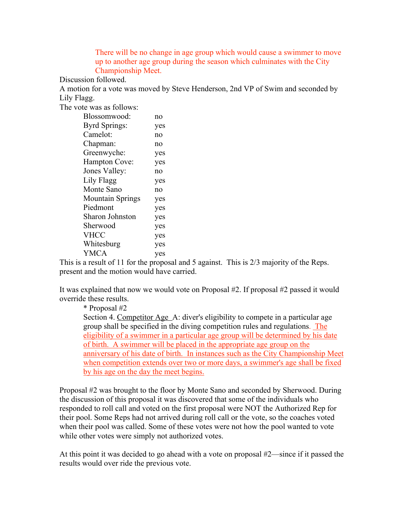There will be no change in age group which would cause a swimmer to move up to another age group during the season which culminates with the City Championship Meet.

Discussion followed.

A motion for a vote was moved by Steve Henderson, 2nd VP of Swim and seconded by Lily Flagg.

The vote was as follows:

| Blossomwood:            | no  |
|-------------------------|-----|
| <b>Byrd Springs:</b>    | yes |
| Camelot:                | no  |
| Chapman:                | no  |
| Greenwyche:             | yes |
| <b>Hampton Cove:</b>    | yes |
| Jones Valley:           | no  |
| Lily Flagg              | yes |
| Monte Sano              | no  |
| <b>Mountain Springs</b> | yes |
| Piedmont                | yes |
| Sharon Johnston         | yes |
| Sherwood                | yes |
| <b>VHCC</b>             | yes |
| Whitesburg              | yes |
| <b>YMCA</b>             | yes |

This is a result of 11 for the proposal and 5 against. This is 2/3 majority of the Reps. present and the motion would have carried.

It was explained that now we would vote on Proposal #2. If proposal #2 passed it would override these results.

\* Proposal #2

Section 4. Competitor Age A: diver's eligibility to compete in a particular age group shall be specified in the diving competition rules and regulations. The eligibility of a swimmer in a particular age group will be determined by his date of birth. A swimmer will be placed in the appropriate age group on the anniversary of his date of birth. In instances such as the City Championship Meet when competition extends over two or more days, a swimmer's age shall be fixed by his age on the day the meet begins.

Proposal #2 was brought to the floor by Monte Sano and seconded by Sherwood. During the discussion of this proposal it was discovered that some of the individuals who responded to roll call and voted on the first proposal were NOT the Authorized Rep for their pool. Some Reps had not arrived during roll call or the vote, so the coaches voted when their pool was called. Some of these votes were not how the pool wanted to vote while other votes were simply not authorized votes.

At this point it was decided to go ahead with a vote on proposal #2—since if it passed the results would over ride the previous vote.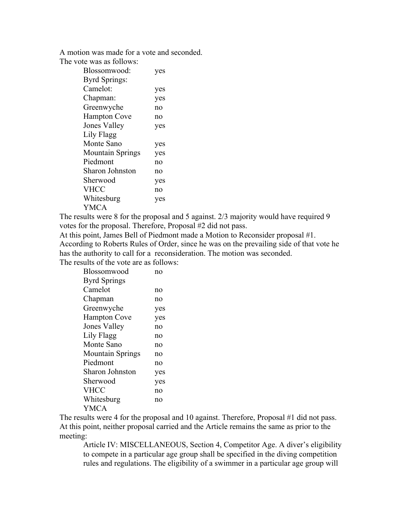A motion was made for a vote and seconded. The vote was as follows:

| Blossomwood:            | yes |
|-------------------------|-----|
| Byrd Springs:           |     |
| Camelot:                | yes |
| Chapman:                | yes |
| Greenwyche              | no  |
| <b>Hampton Cove</b>     | no  |
| <b>Jones Valley</b>     | yes |
| Lily Flagg              |     |
| Monte Sano              | yes |
| <b>Mountain Springs</b> | yes |
| Piedmont                | no  |
| Sharon Johnston         | no  |
| Sherwood                | yes |
| <b>VHCC</b>             | no  |
| Whitesburg              | yes |
| <b>YMCA</b>             |     |

The results were 8 for the proposal and 5 against. 2/3 majority would have required 9 votes for the proposal. Therefore, Proposal #2 did not pass.

At this point, James Bell of Piedmont made a Motion to Reconsider proposal #1. According to Roberts Rules of Order, since he was on the prevailing side of that vote he has the authority to call for a reconsideration. The motion was seconded. The results of the vote are as follows:

| Blossomwood             | no  |
|-------------------------|-----|
| <b>Byrd Springs</b>     |     |
| Camelot                 | no  |
| Chapman                 | no  |
| Greenwyche              | yes |
| <b>Hampton Cove</b>     | yes |
| <b>Jones Valley</b>     | no  |
| Lily Flagg              | no  |
| Monte Sano              | no  |
| <b>Mountain Springs</b> | no  |
| Piedmont                | no  |
| <b>Sharon Johnston</b>  | yes |
| Sherwood                | yes |
| <b>VHCC</b>             | no  |
| Whitesburg              | no  |
| YMCA                    |     |

The results were 4 for the proposal and 10 against. Therefore, Proposal #1 did not pass. At this point, neither proposal carried and the Article remains the same as prior to the meeting:

Article IV: MISCELLANEOUS, Section 4, Competitor Age. A diver's eligibility to compete in a particular age group shall be specified in the diving competition rules and regulations. The eligibility of a swimmer in a particular age group will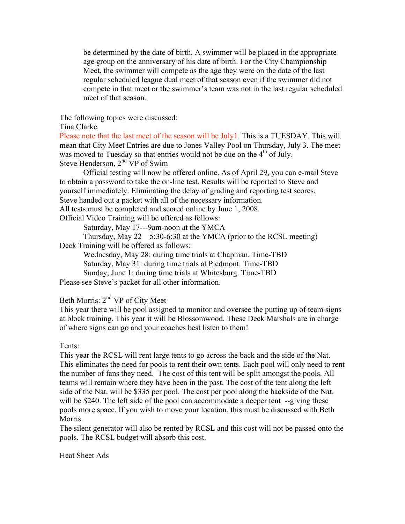be determined by the date of birth. A swimmer will be placed in the appropriate age group on the anniversary of his date of birth. For the City Championship Meet, the swimmer will compete as the age they were on the date of the last regular scheduled league dual meet of that season even if the swimmer did not compete in that meet or the swimmer's team was not in the last regular scheduled meet of that season.

The following topics were discussed:

Tina Clarke

Please note that the last meet of the season will be  $July1$ . This is a TUESDAY. This will mean that City Meet Entries are due to Jones Valley Pool on Thursday, July 3. The meet was moved to Tuesday so that entries would not be due on the 4<sup>th</sup> of July. Steve Henderson, 2<sup>nd</sup> VP of Swim

Official testing will now be offered online. As of April 29, you can e-mail Steve to obtain a password to take the on-line test. Results will be reported to Steve and yourself immediately. Eliminating the delay of grading and reporting test scores. Steve handed out a packet with all of the necessary information. All tests must be completed and scored online by June 1, 2008.

Official Video Training will be offered as follows:

Saturday, May 17---9am-noon at the YMCA

Thursday, May 22—5:30-6:30 at the YMCA (prior to the RCSL meeting) Deck Training will be offered as follows:

Wednesday, May 28: during time trials at Chapman. Time-TBD Saturday, May 31: during time trials at Piedmont. Time-TBD

Sunday, June 1: during time trials at Whitesburg. Time-TBD

Please see Steve's packet for all other information.

## Beth Morris: 2nd VP of City Meet

This year there will be pool assigned to monitor and oversee the putting up of team signs at block training. This year it will be Blossomwood. These Deck Marshals are in charge of where signs can go and your coaches best listen to them!

## Tents:

This year the RCSL will rent large tents to go across the back and the side of the Nat. This eliminates the need for pools to rent their own tents. Each pool will only need to rent the number of fans they need. The cost of this tent will be split amongst the pools. All teams will remain where they have been in the past. The cost of the tent along the left side of the Nat. will be \$335 per pool. The cost per pool along the backside of the Nat. will be \$240. The left side of the pool can accommodate a deeper tent --giving these pools more space. If you wish to move your location, this must be discussed with Beth Morris.

The silent generator will also be rented by RCSL and this cost will not be passed onto the pools. The RCSL budget will absorb this cost.

Heat Sheet Ads